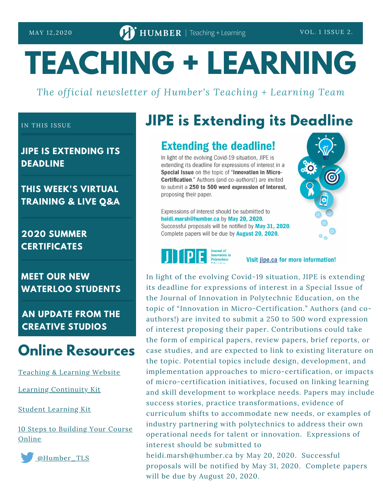# **TEACHING + LEARNING**

*The official newsletter of Humber's Teaching + Learning Team*

#### IN THIS ISSUE

**JIPE IS EXTENDING ITS DEADLINE**

#### **THIS WEEK'S VIRTUAL TRAINING & LIVE Q&A**

**2020 SUMMER CERTIFICATES**

**MEET OUR NEW WATERLOO STUDENTS**

**AN UPDATE FROM THE CREATIVE STUDIOS**

## **Online Resources**

[Teaching](https://humber.ca/teachingandlearning/) & Learning Website

Learning [Continuity](https://sites.google.com/view/learningcontinuitykit/home) Kit

Student [Learning](https://sites.google.com/view/studentlearningkit) Kit

10 Steps to [Building](https://view.genial.ly/5e8ce13874dd8c0e246ef382) Your Course Online



## **JIPE is Extending its Deadline**

### **Extending the deadline!**

In light of the evolving Covid-19 situation, JIPE is extending its deadline for expressions of interest in a Special Issue on the topic of "Innovation in Micro-Certification." Authors (and co-authors!) are invited to submit a 250 to 500 word expression of interest, proposing their paper.

Expressions of interest should be submitted to heidi.marsh@humber.ca by May 20, 2020. Successful proposals will be notified by May 31, 2020. Complete papers will be due by **August 20, 2020.** 



Visit jipe.ca for more information!

In light of the evolving Covid-19 situation, JIPE is extending its deadline for expressions of interest in a Special Issue of the Journal of Innovation in Polytechnic Education, on the topic of "Innovation in Micro-Certification." Authors (and coauthors!) are invited to submit a 250 to 500 word expression of interest proposing their paper. Contributions could take the form of empirical papers, review papers, brief reports, or case studies, and are expected to link to existing literature on the topic. Potential topics include design, development, and implementation approaches to micro-certification, or impacts of micro-certification initiatives, focused on linking learning and skill development to workplace needs. Papers may include success stories, practice transformations, evidence of curriculum shifts to accommodate new needs, or examples of industry partnering with polytechnics to address their own operational needs for talent or innovation. Expressions of interest should be submitted to

heidi.marsh@humber.ca by May 20, 2020. Successful proposals will be notified by May 31, 2020. Complete papers will be due by August 20, 2020.

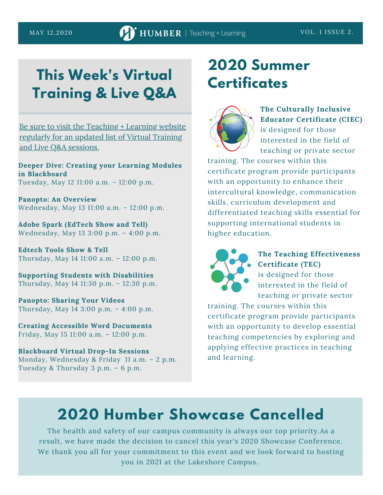# **This Week's Virtual Training & Live Q&A**

Be sure to visit the [Teaching](https://sites.google.com/view/learningcontinuitykit/home/attend-virtual-training) + Learning website regularly for an updated list of Virtual Training and Live Q&A sessions.

**Deeper Dive: Creating your Learning Modules in Blackboard** Tuesday, May 12 11:00 a.m. – 12:00 p.m.

**Panopto: An Overview** Wednesday, May 13 11:00 a.m. – 12:00 p.m.

**Adobe Spark (EdTech Show and Tell)** Wednesday, May 13 3:00 p.m. – 4:00 p.m.

**Edtech Tools Show & Tell** Thursday, May 14 11:00 a.m. – 12:00 p.m.

**Supporting Students with Disabilities** Thursday, May 14 11:30 p.m. – 12:30 p.m.

**Panopto: Sharing Your Videos** Thursday, May 14 3:00 p.m. – 4:00 p.m.

**Creating Accessible Word Documents** Friday, May 15 11:00 a.m. – 12:00 p.m.

**Blackboard Virtual Drop-In Sessions** Monday, Wednesday & Friday 11 a.m. – 2 p.m. Tuesday & Thursday 3 p.m. – 6 p.m.

# **2020 Summer Certificates**



**The Culturally Inclusive Educator Certificate (CIEC)** is designed for those interested in the field of teaching or private sector

training. The courses within this certificate program provide participants with an opportunity to enhance their intercultural knowledge, communication skills, curriculum development and differentiated teaching skills essential for supporting international students in higher education.



#### **The Teaching Effectiveness Certificate (TEC)**

is designed for those interested in the field of teaching or private sector

training. The courses within this certificate program provide participants with an opportunity to develop essential teaching competencies by exploring and applying effective practices in teaching and learning.

# **2020 Humber Showcase Cancelled**

The health and safety of our campus community is always our top priority.As a result, we have made the decision to cancel this year's 2020 Showcase Conference. We thank you all for your commitment to this event and we look forward to hosting you in 2021 at the Lakeshore Campus.